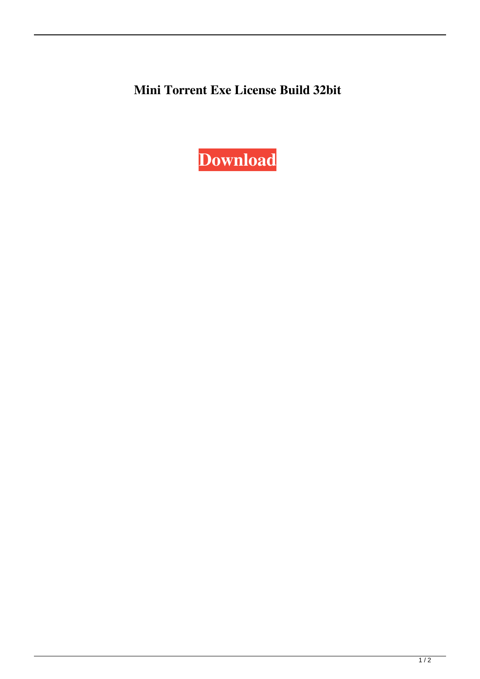**Mini Torrent Exe License Build 32bit**